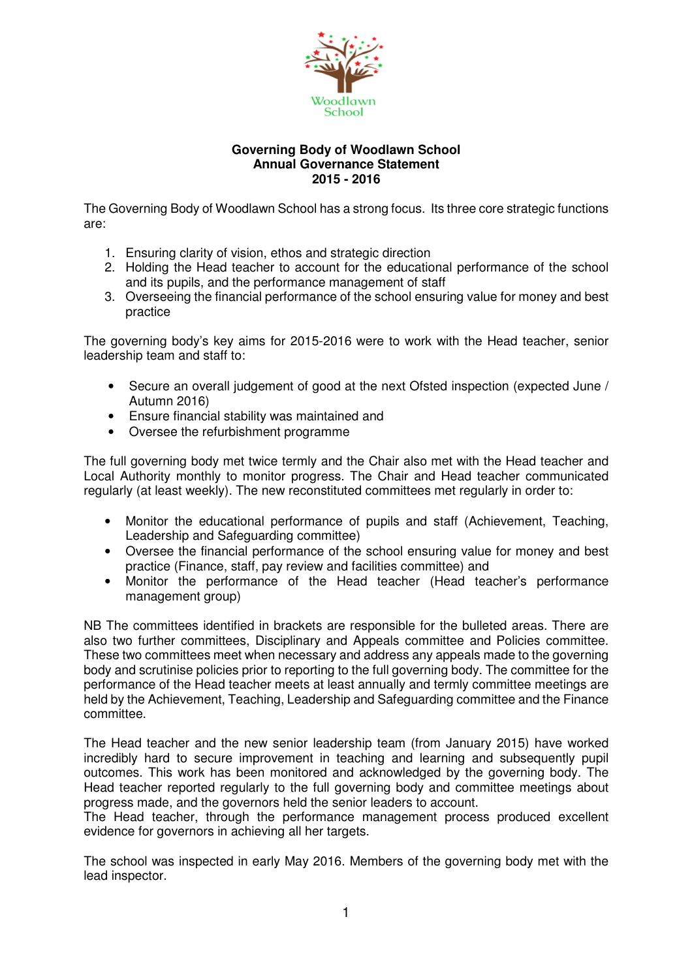

## **Governing Body of Woodlawn School Annual Governance Statement 2015 - 2016**

The Governing Body of Woodlawn School has a strong focus. Its three core strategic functions are:

- 1. Ensuring clarity of vision, ethos and strategic direction
- 2. Holding the Head teacher to account for the educational performance of the school and its pupils, and the performance management of staff
- 3. Overseeing the financial performance of the school ensuring value for money and best practice

The governing body's key aims for 2015-2016 were to work with the Head teacher, senior leadership team and staff to:

- Secure an overall judgement of good at the next Ofsted inspection (expected June / Autumn 2016)
- Ensure financial stability was maintained and
- Oversee the refurbishment programme

The full governing body met twice termly and the Chair also met with the Head teacher and Local Authority monthly to monitor progress. The Chair and Head teacher communicated regularly (at least weekly). The new reconstituted committees met regularly in order to:

- Monitor the educational performance of pupils and staff (Achievement, Teaching, Leadership and Safeguarding committee)
- Oversee the financial performance of the school ensuring value for money and best practice (Finance, staff, pay review and facilities committee) and
- Monitor the performance of the Head teacher (Head teacher's performance management group)

NB The committees identified in brackets are responsible for the bulleted areas. There are also two further committees, Disciplinary and Appeals committee and Policies committee. These two committees meet when necessary and address any appeals made to the governing body and scrutinise policies prior to reporting to the full governing body. The committee for the performance of the Head teacher meets at least annually and termly committee meetings are held by the Achievement, Teaching, Leadership and Safeguarding committee and the Finance committee.

The Head teacher and the new senior leadership team (from January 2015) have worked incredibly hard to secure improvement in teaching and learning and subsequently pupil outcomes. This work has been monitored and acknowledged by the governing body. The Head teacher reported regularly to the full governing body and committee meetings about progress made, and the governors held the senior leaders to account.

The Head teacher, through the performance management process produced excellent evidence for governors in achieving all her targets.

The school was inspected in early May 2016. Members of the governing body met with the lead inspector.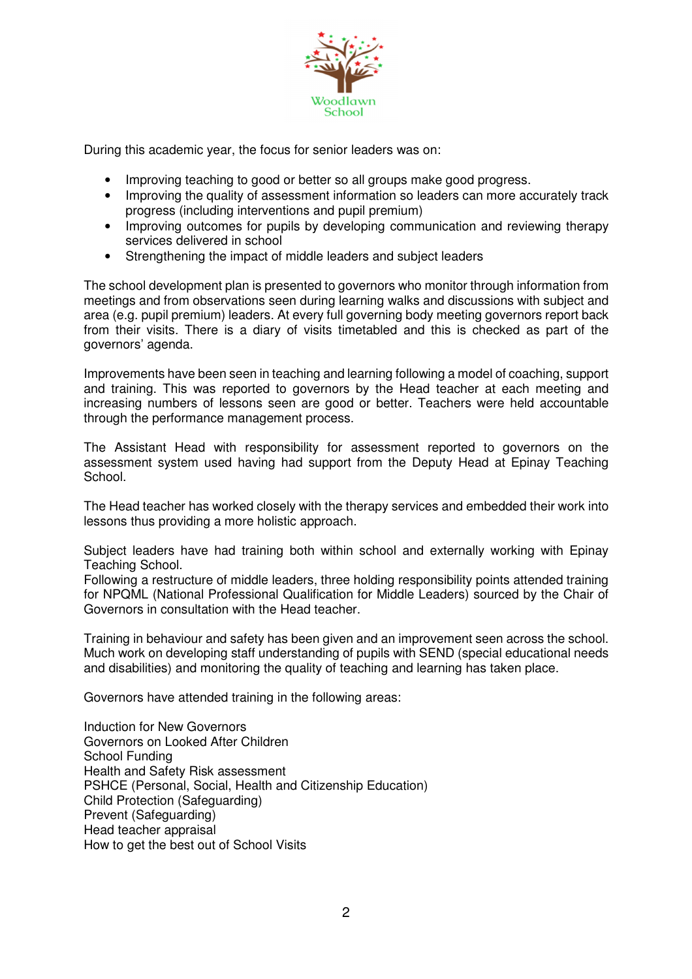

During this academic year, the focus for senior leaders was on:

- Improving teaching to good or better so all groups make good progress.
- Improving the quality of assessment information so leaders can more accurately track progress (including interventions and pupil premium)
- Improving outcomes for pupils by developing communication and reviewing therapy services delivered in school
- Strengthening the impact of middle leaders and subject leaders

The school development plan is presented to governors who monitor through information from meetings and from observations seen during learning walks and discussions with subject and area (e.g. pupil premium) leaders. At every full governing body meeting governors report back from their visits. There is a diary of visits timetabled and this is checked as part of the governors' agenda.

Improvements have been seen in teaching and learning following a model of coaching, support and training. This was reported to governors by the Head teacher at each meeting and increasing numbers of lessons seen are good or better. Teachers were held accountable through the performance management process.

The Assistant Head with responsibility for assessment reported to governors on the assessment system used having had support from the Deputy Head at Epinay Teaching School.

The Head teacher has worked closely with the therapy services and embedded their work into lessons thus providing a more holistic approach.

Subject leaders have had training both within school and externally working with Epinay Teaching School.

Following a restructure of middle leaders, three holding responsibility points attended training for NPQML (National Professional Qualification for Middle Leaders) sourced by the Chair of Governors in consultation with the Head teacher.

Training in behaviour and safety has been given and an improvement seen across the school. Much work on developing staff understanding of pupils with SEND (special educational needs and disabilities) and monitoring the quality of teaching and learning has taken place.

Governors have attended training in the following areas:

Induction for New Governors Governors on Looked After Children School Funding Health and Safety Risk assessment PSHCE (Personal, Social, Health and Citizenship Education) Child Protection (Safeguarding) Prevent (Safeguarding) Head teacher appraisal How to get the best out of School Visits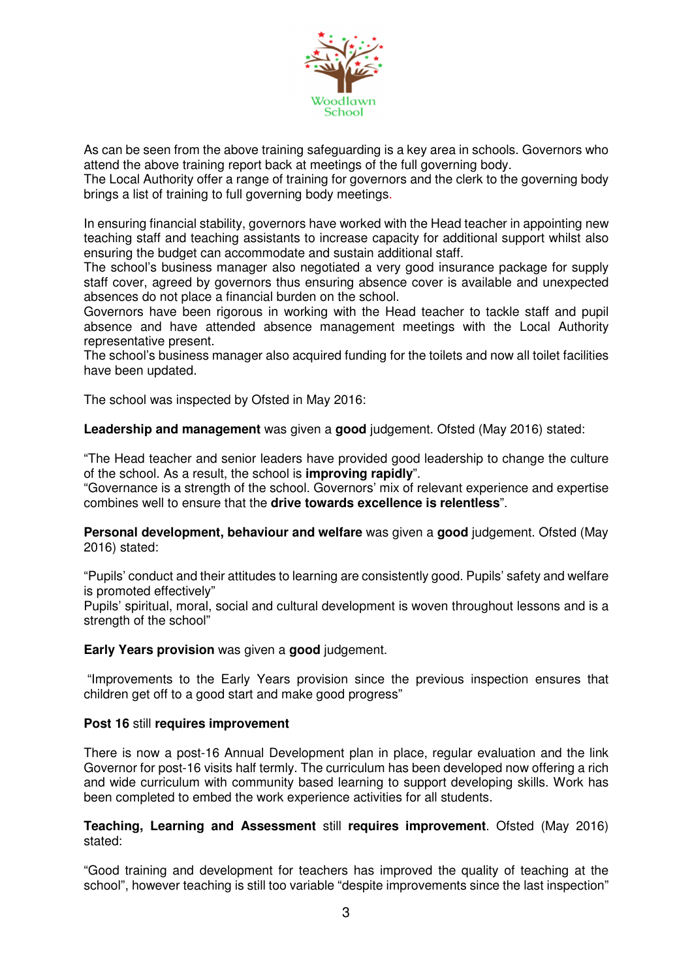

As can be seen from the above training safeguarding is a key area in schools. Governors who attend the above training report back at meetings of the full governing body.

The Local Authority offer a range of training for governors and the clerk to the governing body brings a list of training to full governing body meetings.

In ensuring financial stability, governors have worked with the Head teacher in appointing new teaching staff and teaching assistants to increase capacity for additional support whilst also ensuring the budget can accommodate and sustain additional staff.

The school's business manager also negotiated a very good insurance package for supply staff cover, agreed by governors thus ensuring absence cover is available and unexpected absences do not place a financial burden on the school.

Governors have been rigorous in working with the Head teacher to tackle staff and pupil absence and have attended absence management meetings with the Local Authority representative present.

The school's business manager also acquired funding for the toilets and now all toilet facilities have been updated.

The school was inspected by Ofsted in May 2016:

**Leadership and management** was given a **good** judgement. Ofsted (May 2016) stated:

"The Head teacher and senior leaders have provided good leadership to change the culture of the school. As a result, the school is **improving rapidly**".

"Governance is a strength of the school. Governors' mix of relevant experience and expertise combines well to ensure that the **drive towards excellence is relentless**".

**Personal development, behaviour and welfare** was given a **good** judgement. Ofsted (May 2016) stated:

"Pupils' conduct and their attitudes to learning are consistently good. Pupils' safety and welfare is promoted effectively"

Pupils' spiritual, moral, social and cultural development is woven throughout lessons and is a strength of the school"

**Early Years provision** was given a **good** judgement.

 "Improvements to the Early Years provision since the previous inspection ensures that children get off to a good start and make good progress"

## **Post 16** still **requires improvement**

There is now a post-16 Annual Development plan in place, regular evaluation and the link Governor for post-16 visits half termly. The curriculum has been developed now offering a rich and wide curriculum with community based learning to support developing skills. Work has been completed to embed the work experience activities for all students.

**Teaching, Learning and Assessment** still **requires improvement**. Ofsted (May 2016) stated:

"Good training and development for teachers has improved the quality of teaching at the school", however teaching is still too variable "despite improvements since the last inspection"